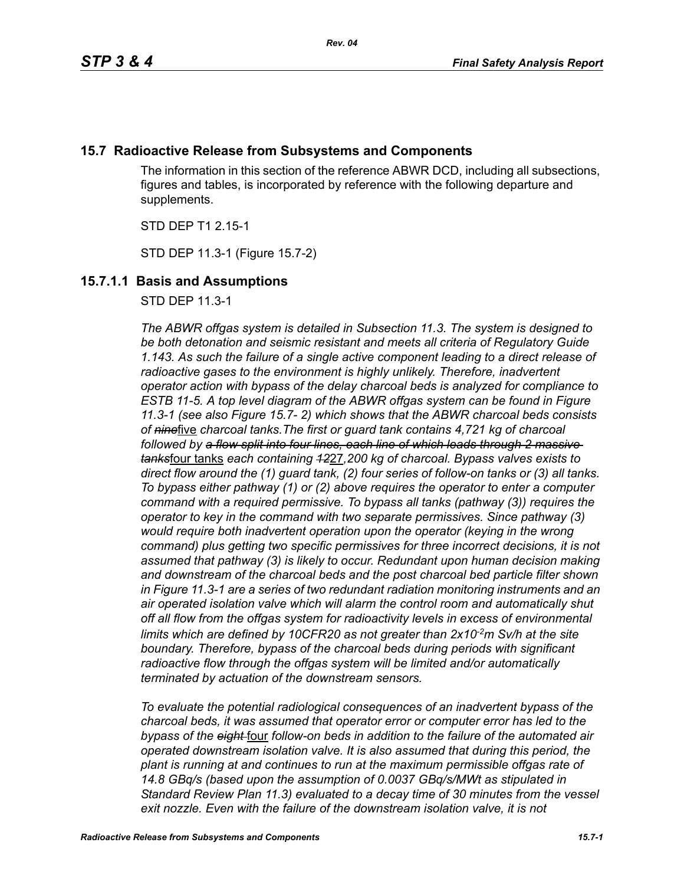# **15.7 Radioactive Release from Subsystems and Components**

The information in this section of the reference ABWR DCD, including all subsections, figures and tables, is incorporated by reference with the following departure and supplements.

STD DEP T1 2.15-1

STD DEP 11.3-1 (Figure 15.7-2)

# **15.7.1.1 Basis and Assumptions**

STD DEP 11.3-1

*The ABWR offgas system is detailed in Subsection 11.3. The system is designed to be both detonation and seismic resistant and meets all criteria of Regulatory Guide 1.143. As such the failure of a single active component leading to a direct release of radioactive gases to the environment is highly unlikely. Therefore, inadvertent operator action with bypass of the delay charcoal beds is analyzed for compliance to ESTB 11-5. A top level diagram of the ABWR offgas system can be found in Figure 11.3-1 (see also Figure 15.7- 2) which shows that the ABWR charcoal beds consists of nine*five *charcoal tanks.The first or guard tank contains 4,721 kg of charcoal followed by a flow split into four lines, each line of which leads through 2 massive tanks*four tanks *each containing 12*27*,200 kg of charcoal. Bypass valves exists to direct flow around the (1) guard tank, (2) four series of follow-on tanks or (3) all tanks. To bypass either pathway (1) or (2) above requires the operator to enter a computer command with a required permissive. To bypass all tanks (pathway (3)) requires the operator to key in the command with two separate permissives. Since pathway (3) would require both inadvertent operation upon the operator (keying in the wrong command) plus getting two specific permissives for three incorrect decisions, it is not assumed that pathway (3) is likely to occur. Redundant upon human decision making and downstream of the charcoal beds and the post charcoal bed particle filter shown in Figure 11.3-1 are a series of two redundant radiation monitoring instruments and an air operated isolation valve which will alarm the control room and automatically shut off all flow from the offgas system for radioactivity levels in excess of environmental*  limits which are defined by 10CFR20 as not greater than 2x10<sup>2</sup>m Sv/h at the site *boundary. Therefore, bypass of the charcoal beds during periods with significant radioactive flow through the offgas system will be limited and/or automatically terminated by actuation of the downstream sensors.* 

*To evaluate the potential radiological consequences of an inadvertent bypass of the charcoal beds, it was assumed that operator error or computer error has led to the bypass of the eight* four *follow-on beds in addition to the failure of the automated air operated downstream isolation valve. It is also assumed that during this period, the plant is running at and continues to run at the maximum permissible offgas rate of 14.8 GBq/s (based upon the assumption of 0.0037 GBq/s/MWt as stipulated in Standard Review Plan 11.3) evaluated to a decay time of 30 minutes from the vessel*  exit nozzle. Even with the failure of the downstream isolation valve, it is not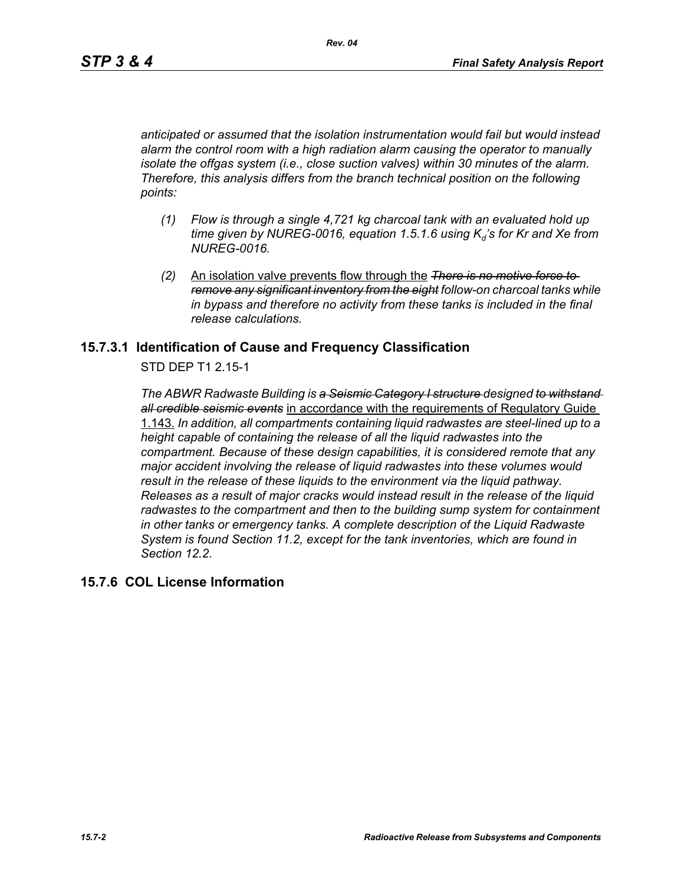*anticipated or assumed that the isolation instrumentation would fail but would instead alarm the control room with a high radiation alarm causing the operator to manually isolate the offgas system (i.e., close suction valves) within 30 minutes of the alarm. Therefore, this analysis differs from the branch technical position on the following points:*

- *(1) Flow is through a single 4,721 kg charcoal tank with an evaluated hold up time given by NUREG-0016, equation 1.5.1.6 using K<sub>d</sub>'s for Kr and Xe from NUREG-0016.*
- *(2)* An isolation valve prevents flow through the *There is no motive force to remove any significant inventory from the eight follow-on charcoal tanks while in bypass and therefore no activity from these tanks is included in the final release calculations.*

### **15.7.3.1 Identification of Cause and Frequency Classification**

STD DEP T1 2.15-1

*The ABWR Radwaste Building is a Seismic Category I structure designed to withstand all credible seismic events* in accordance with the requirements of Regulatory Guide 1.143. *In addition, all compartments containing liquid radwastes are steel-lined up to a height capable of containing the release of all the liquid radwastes into the compartment. Because of these design capabilities, it is considered remote that any major accident involving the release of liquid radwastes into these volumes would result in the release of these liquids to the environment via the liquid pathway. Releases as a result of major cracks would instead result in the release of the liquid radwastes to the compartment and then to the building sump system for containment in other tanks or emergency tanks. A complete description of the Liquid Radwaste System is found Section 11.2, except for the tank inventories, which are found in Section 12.2.*

### **15.7.6 COL License Information**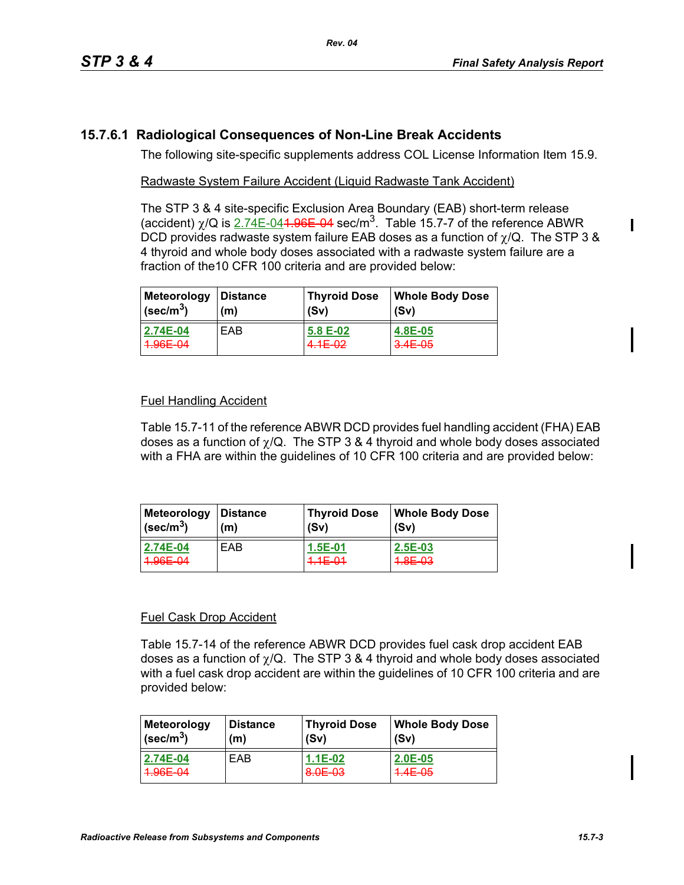# **15.7.6.1 Radiological Consequences of Non-Line Break Accidents**

The following site-specific supplements address COL License Information Item 15.9.

#### Radwaste System Failure Accident (Liquid Radwaste Tank Accident)

The STP 3 & 4 site-specific Exclusion Area Boundary (EAB) short-term release (accident)  $\chi$ /Q is 2.74E-04<del>1.96E 04</del> sec/m<sup>3</sup>. Table 15.7-7 of the reference ABWR DCD provides radwaste system failure EAB doses as a function of  $\chi$ /Q. The STP 3 & 4 thyroid and whole body doses associated with a radwaste system failure are a fraction of the10 CFR 100 criteria and are provided below:

| Meteorology               | Distance   | <b>Thyroid Dose</b> | <b>Whole Body Dose</b> |
|---------------------------|------------|---------------------|------------------------|
| $ $ (sec/m <sup>3</sup> ) | (m)        | (Sv)                | (Sv)                   |
| 2.74E-04                  | <b>FAB</b> | 5.8 E-02            | 4.8E-05                |
| $ 4.96E - 04 $            |            | $4.1E - 02$         | $3.4E - 0.5$           |

### Fuel Handling Accident

Table 15.7-11 of the reference ABWR DCD provides fuel handling accident (FHA) EAB doses as a function of  $\chi$ /Q. The STP 3 & 4 thyroid and whole body doses associated with a FHA are within the guidelines of 10 CFR 100 criteria and are provided below:

| Meteorology                                    | ∣Distance  | <b>Thyroid Dose</b>      | <b>Whole Body Dose</b> |
|------------------------------------------------|------------|--------------------------|------------------------|
| $ $ (sec/m <sup>3</sup> )                      | (m)        | (Sv)                     | (Sv)                   |
| 2.74E-04<br>1.0 $AC$ $MA$<br><del>ooc 04</del> | <b>FAB</b> | $1.5E-01$<br>$4.1E - 01$ | 2.5E-03<br>4.8E-03     |

### Fuel Cask Drop Accident

Table 15.7-14 of the reference ABWR DCD provides fuel cask drop accident EAB doses as a function of  $\gamma$ /Q. The STP 3 & 4 thyroid and whole body doses associated with a fuel cask drop accident are within the guidelines of 10 CFR 100 criteria and are provided below:

| Meteorology               | Distance | <b>Thyroid Dose</b> | Whole Body Dose |
|---------------------------|----------|---------------------|-----------------|
| $\sqrt{(\text{sec/m}^3)}$ | (m)      | (Sv)                | (Sv)            |
| 2.74E-04                  | EAB      | $1.1E-02$           | $2.0E-0.5$      |
| 1.0 $AC$ $MA$             |          | 8.0E-03             | $4.4E - 05$     |